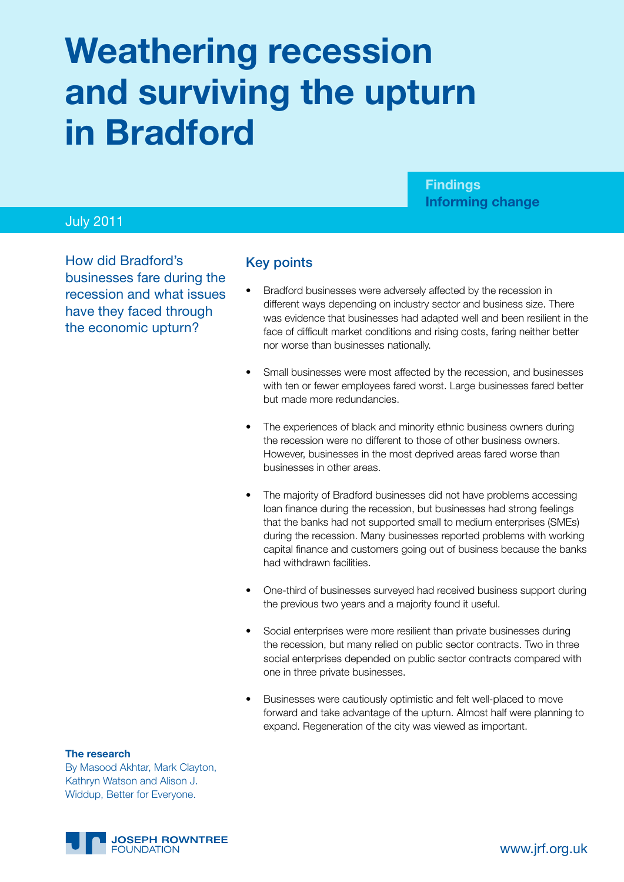# **Weathering recession and surviving the upturn in Bradford**

**Findings Informing change**

# July 2011

How did Bradford's businesses fare during the recession and what issues have they faced through the economic upturn?

## Key points

- Bradford businesses were adversely affected by the recession in different ways depending on industry sector and business size. There was evidence that businesses had adapted well and been resilient in the face of difficult market conditions and rising costs, faring neither better nor worse than businesses nationally.
- Small businesses were most affected by the recession, and businesses with ten or fewer employees fared worst. Large businesses fared better but made more redundancies.
- The experiences of black and minority ethnic business owners during the recession were no different to those of other business owners. However, businesses in the most deprived areas fared worse than businesses in other areas.
- The majority of Bradford businesses did not have problems accessing loan finance during the recession, but businesses had strong feelings that the banks had not supported small to medium enterprises (SMEs) during the recession. Many businesses reported problems with working capital finance and customers going out of business because the banks had withdrawn facilities.
- One-third of businesses surveyed had received business support during the previous two years and a majority found it useful.
- Social enterprises were more resilient than private businesses during the recession, but many relied on public sector contracts. Two in three social enterprises depended on public sector contracts compared with one in three private businesses.
- Businesses were cautiously optimistic and felt well-placed to move forward and take advantage of the upturn. Almost half were planning to expand. Regeneration of the city was viewed as important.

#### **The research**

By Masood Akhtar, Mark Clayton, Kathryn Watson and Alison J. Widdup, Better for Everyone.

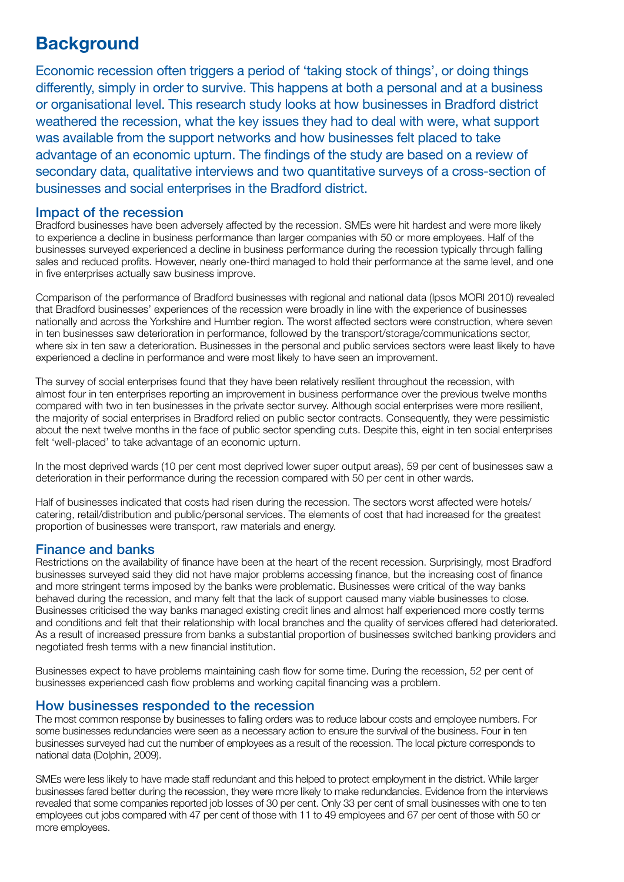# **Background**

Economic recession often triggers a period of 'taking stock of things', or doing things differently, simply in order to survive. This happens at both a personal and at a business or organisational level. This research study looks at how businesses in Bradford district weathered the recession, what the key issues they had to deal with were, what support was available from the support networks and how businesses felt placed to take advantage of an economic upturn. The findings of the study are based on a review of secondary data, qualitative interviews and two quantitative surveys of a cross-section of businesses and social enterprises in the Bradford district.

#### Impact of the recession

Bradford businesses have been adversely affected by the recession. SMEs were hit hardest and were more likely to experience a decline in business performance than larger companies with 50 or more employees. Half of the businesses surveyed experienced a decline in business performance during the recession typically through falling sales and reduced profits. However, nearly one-third managed to hold their performance at the same level, and one in five enterprises actually saw business improve.

Comparison of the performance of Bradford businesses with regional and national data (Ipsos MORI 2010) revealed that Bradford businesses' experiences of the recession were broadly in line with the experience of businesses nationally and across the Yorkshire and Humber region. The worst affected sectors were construction, where seven in ten businesses saw deterioration in performance, followed by the transport/storage/communications sector, where six in ten saw a deterioration. Businesses in the personal and public services sectors were least likely to have experienced a decline in performance and were most likely to have seen an improvement.

The survey of social enterprises found that they have been relatively resilient throughout the recession, with almost four in ten enterprises reporting an improvement in business performance over the previous twelve months compared with two in ten businesses in the private sector survey. Although social enterprises were more resilient, the majority of social enterprises in Bradford relied on public sector contracts. Consequently, they were pessimistic about the next twelve months in the face of public sector spending cuts. Despite this, eight in ten social enterprises felt 'well-placed' to take advantage of an economic upturn.

In the most deprived wards (10 per cent most deprived lower super output areas), 59 per cent of businesses saw a deterioration in their performance during the recession compared with 50 per cent in other wards.

Half of businesses indicated that costs had risen during the recession. The sectors worst affected were hotels/ catering, retail/distribution and public/personal services. The elements of cost that had increased for the greatest proportion of businesses were transport, raw materials and energy.

# Finance and banks

Restrictions on the availability of finance have been at the heart of the recent recession. Surprisingly, most Bradford businesses surveyed said they did not have major problems accessing finance, but the increasing cost of finance and more stringent terms imposed by the banks were problematic. Businesses were critical of the way banks behaved during the recession, and many felt that the lack of support caused many viable businesses to close. Businesses criticised the way banks managed existing credit lines and almost half experienced more costly terms and conditions and felt that their relationship with local branches and the quality of services offered had deteriorated. As a result of increased pressure from banks a substantial proportion of businesses switched banking providers and negotiated fresh terms with a new financial institution.

Businesses expect to have problems maintaining cash flow for some time. During the recession, 52 per cent of businesses experienced cash flow problems and working capital financing was a problem.

#### How businesses responded to the recession

The most common response by businesses to falling orders was to reduce labour costs and employee numbers. For some businesses redundancies were seen as a necessary action to ensure the survival of the business. Four in ten businesses surveyed had cut the number of employees as a result of the recession. The local picture corresponds to national data (Dolphin, 2009).

SMEs were less likely to have made staff redundant and this helped to protect employment in the district. While larger businesses fared better during the recession, they were more likely to make redundancies. Evidence from the interviews revealed that some companies reported job losses of 30 per cent. Only 33 per cent of small businesses with one to ten employees cut jobs compared with 47 per cent of those with 11 to 49 employees and 67 per cent of those with 50 or more employees.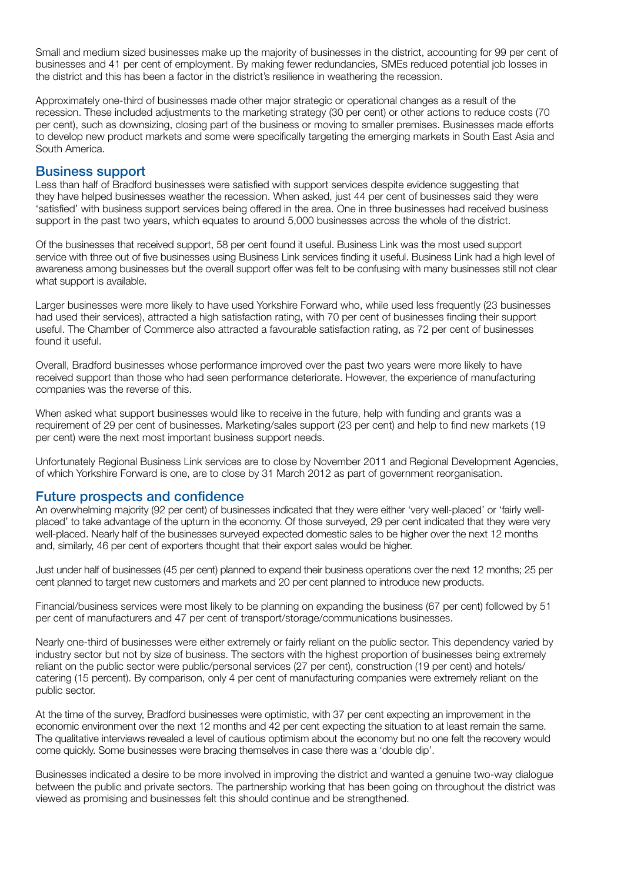Small and medium sized businesses make up the majority of businesses in the district, accounting for 99 per cent of businesses and 41 per cent of employment. By making fewer redundancies, SMEs reduced potential job losses in the district and this has been a factor in the district's resilience in weathering the recession.

Approximately one-third of businesses made other major strategic or operational changes as a result of the recession. These included adjustments to the marketing strategy (30 per cent) or other actions to reduce costs (70 per cent), such as downsizing, closing part of the business or moving to smaller premises. Businesses made efforts to develop new product markets and some were specifically targeting the emerging markets in South East Asia and South America.

#### Business support

Less than half of Bradford businesses were satisfied with support services despite evidence suggesting that they have helped businesses weather the recession. When asked, just 44 per cent of businesses said they were 'satisfied' with business support services being offered in the area. One in three businesses had received business support in the past two years, which equates to around 5,000 businesses across the whole of the district.

Of the businesses that received support, 58 per cent found it useful. Business Link was the most used support service with three out of five businesses using Business Link services finding it useful. Business Link had a high level of awareness among businesses but the overall support offer was felt to be confusing with many businesses still not clear what support is available.

Larger businesses were more likely to have used Yorkshire Forward who, while used less frequently (23 businesses had used their services), attracted a high satisfaction rating, with 70 per cent of businesses finding their support useful. The Chamber of Commerce also attracted a favourable satisfaction rating, as 72 per cent of businesses found it useful.

Overall, Bradford businesses whose performance improved over the past two years were more likely to have received support than those who had seen performance deteriorate. However, the experience of manufacturing companies was the reverse of this.

When asked what support businesses would like to receive in the future, help with funding and grants was a requirement of 29 per cent of businesses. Marketing/sales support (23 per cent) and help to find new markets (19 per cent) were the next most important business support needs.

Unfortunately Regional Business Link services are to close by November 2011 and Regional Development Agencies, of which Yorkshire Forward is one, are to close by 31 March 2012 as part of government reorganisation.

#### Future prospects and confidence

An overwhelming majority (92 per cent) of businesses indicated that they were either 'very well-placed' or 'fairly wellplaced' to take advantage of the upturn in the economy. Of those surveyed, 29 per cent indicated that they were very well-placed. Nearly half of the businesses surveyed expected domestic sales to be higher over the next 12 months and, similarly, 46 per cent of exporters thought that their export sales would be higher.

Just under half of businesses (45 per cent) planned to expand their business operations over the next 12 months; 25 per cent planned to target new customers and markets and 20 per cent planned to introduce new products.

Financial/business services were most likely to be planning on expanding the business (67 per cent) followed by 51 per cent of manufacturers and 47 per cent of transport/storage/communications businesses.

Nearly one-third of businesses were either extremely or fairly reliant on the public sector. This dependency varied by industry sector but not by size of business. The sectors with the highest proportion of businesses being extremely reliant on the public sector were public/personal services (27 per cent), construction (19 per cent) and hotels/ catering (15 percent). By comparison, only 4 per cent of manufacturing companies were extremely reliant on the public sector.

At the time of the survey, Bradford businesses were optimistic, with 37 per cent expecting an improvement in the economic environment over the next 12 months and 42 per cent expecting the situation to at least remain the same. The qualitative interviews revealed a level of cautious optimism about the economy but no one felt the recovery would come quickly. Some businesses were bracing themselves in case there was a 'double dip'.

Businesses indicated a desire to be more involved in improving the district and wanted a genuine two-way dialogue between the public and private sectors. The partnership working that has been going on throughout the district was viewed as promising and businesses felt this should continue and be strengthened.